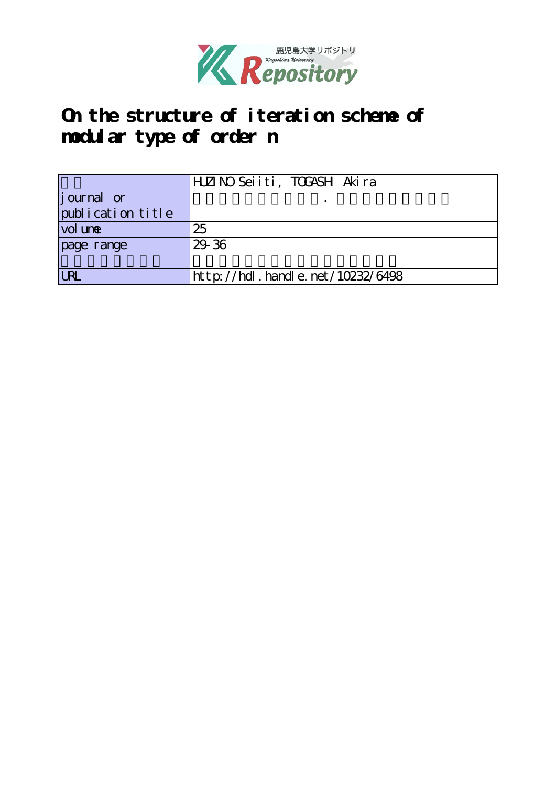

## **On the structure of iteration scheme of modular type of order n**

|                   | HLZINO Seiiti, TOGASH Akira      |
|-------------------|----------------------------------|
| journal or        |                                  |
| publication title |                                  |
| vol une           | 25                               |
| page range        | 29.36                            |
|                   |                                  |
| <b>URI</b>        | http://hdl.handle.net/10232/6498 |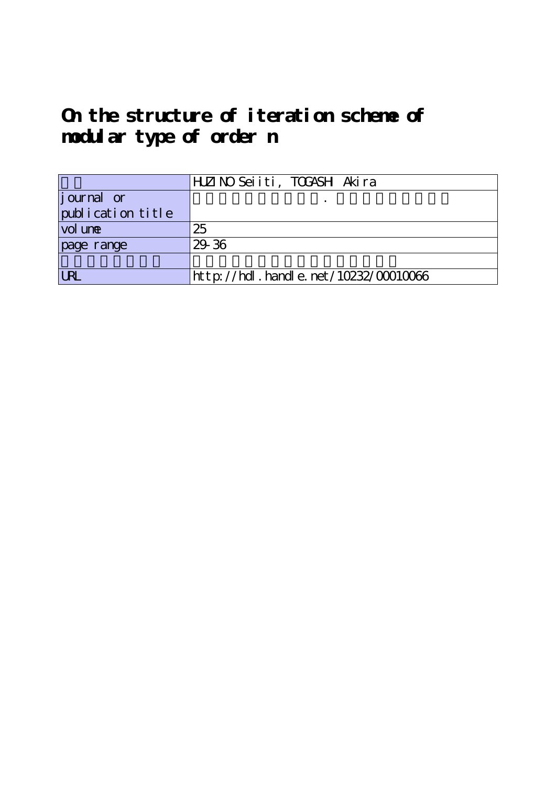# **On the structure of iteration scheme of modular type of order n**

|                   | HLZINO Seiiti, TOGASH Akira               |
|-------------------|-------------------------------------------|
| journal or        |                                           |
| publication title |                                           |
| vol une           | 25                                        |
| page range        | 29 36                                     |
|                   |                                           |
| <b>LRL</b>        | $http$ ://hdl. handle. net/10232/00010066 |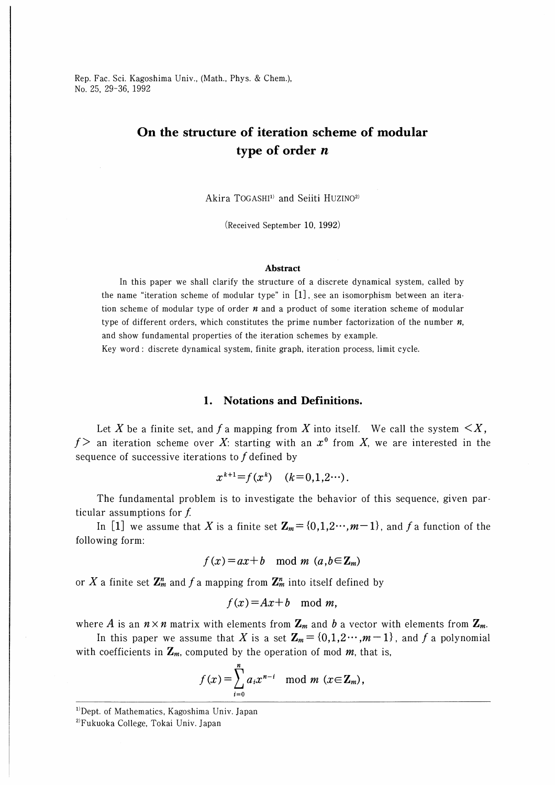Rep. Fac. Sci. Kagoshima Univ., (Math., Phys. & Chem.), No. 25, 29-36, 1992

### On the structure of iteration scheme of modular type of order  $n$

Akira TOGASHI<sup>1)</sup> and Seiiti HUZINO<sup>2)</sup>

(Received September 10, 1992)

#### Abstract

In this paper we shall clarify the structure of a discrete dynamical system, called by the name "iteration scheme of modular type" in [1] , see an isomorphism between an iteration scheme of modular type of order  $n$  and a product of some iteration scheme of modular type of different orders, which constitutes the prime number factorization of the number  $n$ , and show fundamental properties of the iteration schemes by example.

Key word : discrete dynamical system, finite graph, iteration process, limit cycle.

#### 1. Notations and Definitions.

Let X be a finite set, and f a mapping from X into itself. We call the system  $\leq X$ ,  $f$  an iteration scheme over X: starting with an  $x^0$  from X, we are interested in the sequence of successive iterations to  $f$  defined by

$$
x^{k+1} = f(x^k) \quad (k=0,1,2\cdots).
$$

The fundamental problem is to investigate the behavior of this sequence, given particular assumptions for  $f$ .

In [1] we assume that X is a finite set  $\mathbf{Z}_m = \{0,1,2\cdots,m-1\}$ , and f a function of the following form:

$$
f(x) = ax + b \mod m \ (a, b \in \mathbb{Z}_m)
$$

or X a finite set  $\mathbb{Z}_m^n$  and f a mapping from  $\mathbb{Z}_m^n$  into itself defined by

$$
f(x)=Ax+b \mod m,
$$

where A is an  $n \times n$  matrix with elements from  $\mathbf{Z}_m$  and b a vector with elements from  $\mathbf{Z}_m$ .

In this paper we assume that X is a set  $\mathbb{Z}_m = \{0,1,2\cdots,m-1\}$ , and f a polynomial with coefficients in  $\mathbf{Z}_m$ , computed by the operation of mod  $m$ , that is,

$$
f(x) = \sum_{i=0}^{n} a_i x^{n-i} \mod m \ (x \in \mathbb{Z}_m),
$$

<sup>1)</sup>Dept. of Mathematics, Kagoshima Univ. Japan

2)Fukuoka College, Tokai Univ. Japan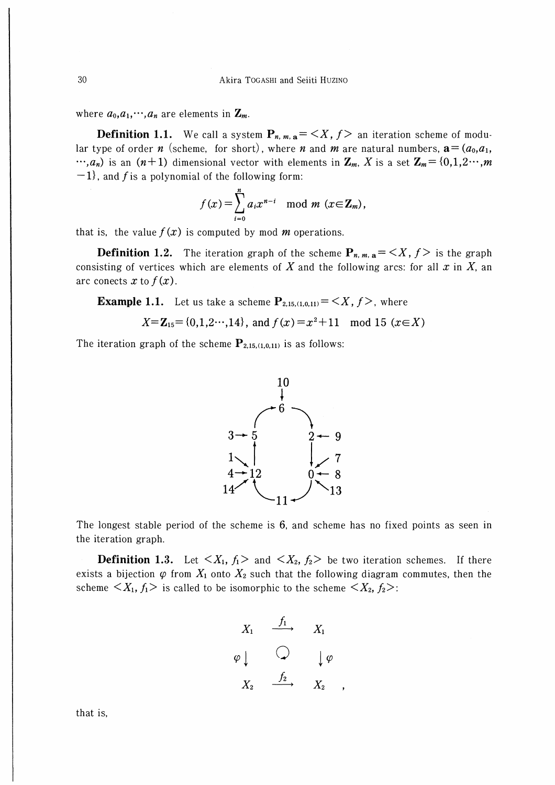where  $a_0, a_1, \dots, a_n$  are elements in  $\mathbf{Z}_m$ .

**Definition 1.1.** We call a system  $P_{n,m,n} = \langle X, f \rangle$  an iteration scheme of modular type of order *n* (scheme, for short), where *n* and *m* are natural numbers,  $\mathbf{a} = (a_0, a_1, a_2, a_3, a_4, a_5, a_6, a_7, a_8, a_9, a_1, a_2, a_3, a_4, a_5, a_6, a_7, a_8, a_9, a_1, a_2, a_3, a_4, a_5, a_6, a_7, a_8, a_9, a_1, a_2, a_3, a_4, a_$  $\cdots$ ,  $a_n$ ) is an  $(n+1)$  dimensional vector with elements in  $\mathbb{Z}_m$ , X is a set  $\mathbb{Z}_m = \{0,1,2\cdots,m\}$  $-1$ , and f is a polynomial of the following form:

$$
f(x) = \sum_{i=0}^{n} a_i x^{n-i} \mod m \ (x \in \mathbf{Z}_m),
$$

that is, the value  $f(x)$  is computed by mod *m* operations.

**Definition 1.2.** The iteration graph of the scheme  $P_{n,m,a} = \langle X, f \rangle$  is the graph consisting of vertices which are elements of X and the following arcs: for all  $x$  in X, an arc conects x to  $f(x)$ .

**Example 1.1.** Let us take a scheme  $P_{2,15,(1,0,11)} = \langle X, f \rangle$ , where

$$
X = \mathbb{Z}_{15} = \{0, 1, 2 \cdots, 14\}
$$
, and  $f(x) = x^2 + 11 \mod 15$  ( $x \in X$ )

The iteration graph of the scheme  $P_{2,15,(1,0,11)}$  is as follows:



The longest stable period of the scheme is 6, and scheme has no fixed points as seen in the iteration graph.

**Definition 1.3.** Let  $\langle X_1, f_1 \rangle$  and  $\langle X_2, f_2 \rangle$  be two iteration schemes. If there exists a bijection  $\varphi$  from  $X_1$  onto  $X_2$  such that the following diagram commutes, then the scheme  $\langle X_1, f_1 \rangle$  is called to be isomorphic to the scheme  $\langle X_2, f_2 \rangle$ :

$$
\begin{array}{ccc}\nX_1 & \xrightarrow{f_1} & X_1 \\
\varphi \downarrow & \bigcirc & \downarrow \varphi \\
X_2 & \xrightarrow{f_2} & X_2\n\end{array}
$$

30

that is,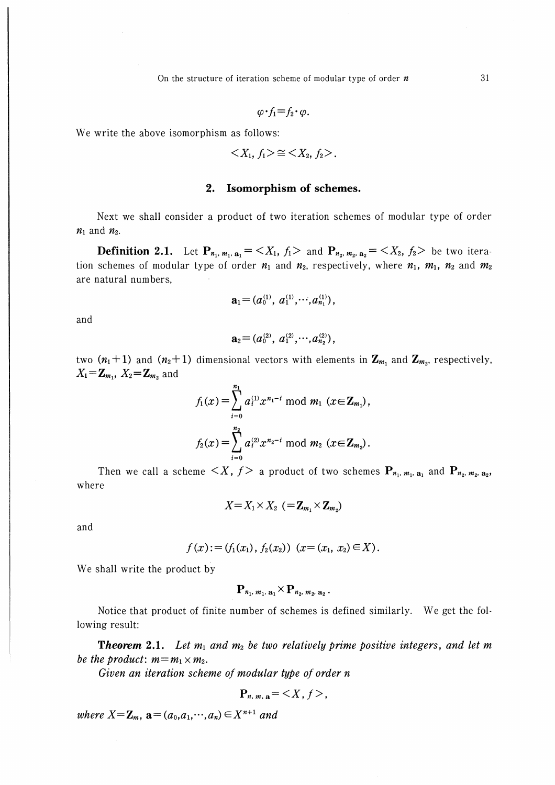On the structure of iteration scheme of modular type of order  $n$ 

$$
\varphi \cdot f_1 = f_2 \cdot \varphi.
$$

We write the above isomorphism as follows:

$$
\langle X_1, f_1 \rangle \cong \langle X_2, f_2 \rangle.
$$

### 2. Isomorphism of schemes.

Next we shall consider a product of two iteration schemes of modular type of order  $n_1$  and  $n_2$ .

**Definition 2.1.** Let  $P_{n_1, m_1, n_1} = \langle X_1, f_1 \rangle$  and  $P_{n_2, m_2, n_2} = \langle X_2, f_2 \rangle$  be two iteration schemes of modular type of order  $n_1$  and  $n_2$ , respectively, where  $n_1$ ,  $m_1$ ,  $n_2$  and  $m_2$ are natural numbers,

$$
\mathbf{a}_1=(a_0^{(1)}, a_1^{(1)}, \cdots, a_{n_1}^{(1)}),
$$

and

$$
\mathbf{a}_2\mathbf{=}\left(a_0^{(2)}, a_1^{(2)}, \cdots, a_{n_2}^{(2)}\right),
$$

two  $(n_1+1)$  and  $(n_2+1)$  dimensional vectors with elements in  $\mathbb{Z}_{m_1}$  and  $\mathbb{Z}_{m_2}$ , respectively,  $X_1 = \mathbf{Z}_{m_1}$ ,  $X_2 = \mathbf{Z}_{m_2}$  and

$$
f_1(x) = \sum_{i=0}^{n_1} a_i^{(1)} x^{n_1-i} \bmod m_1 \ (x \in \mathbb{Z}_{m_1}),
$$
  

$$
f_2(x) = \sum_{i=0}^{n_2} a_i^{(2)} x^{n_2-i} \bmod m_2 \ (x \in \mathbb{Z}_{m_2}).
$$

Then we call a scheme  $\langle X, f \rangle$  a product of two schemes  $P_{n_1, m_1, a_1}$  and  $P_{n_2, m_2, a_2}$ where

$$
X = X_1 \times X_2 \ \left(= \mathbf{Z}_{m_1} \times \mathbf{Z}_{m_2}\right)
$$

and

$$
f(x) := (f_1(x_1), f_2(x_2)) (x = (x_1, x_2) \in X).
$$

We shall write the product by

$$
\mathbf{P}_{n_1, m_1, \mathbf{a}_1} \times \mathbf{P}_{n_2, m_2, \mathbf{a}_2}.
$$

Notice that product of finite number of schemes is defined similarly. We get the following result:

**Theorem 2.1.** Let  $m_1$  and  $m_2$  be two relatively prime positive integers, and let m be the product:  $m=m_1\times m_2$ .

Given an iteration scheme of modular type of order n

$$
\mathbf{P}_{n,m,\,\mathbf{a}} = \langle X,\,f \rangle,
$$

where  $X = \mathbf{Z}_m$ ,  $\mathbf{a} = (a_0, a_1, \dots, a_n) \in X^{n+1}$  and

31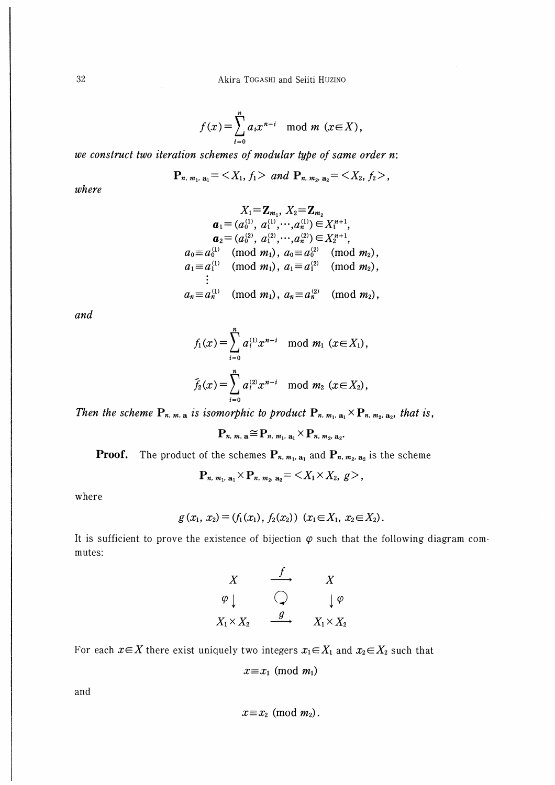$$
f(x) = \sum_{i=0}^{n} a_i x^{n-i} \mod m \ (x \in X),
$$

we construct two iteration schemes of modular type of same order n:

$$
\mathbf{P}_{n, m_1, \mathbf{a}_1} = \langle X_1, f_1 \rangle \ \ and \ \mathbf{P}_{n, m_2, \mathbf{a}_2} = \langle X_2, f_2 \rangle,
$$

where

$$
X_1 = \mathbf{Z}_{m_1}, X_2 = \mathbf{Z}_{m_2}
$$
  
\n
$$
\mathbf{a}_1 = (a_0^{(1)}, a_1^{(1)}, \cdots, a_n^{(1)}) \in X_1^{n+1},
$$
  
\n
$$
\mathbf{a}_2 = (a_0^{(2)}, a_1^{(2)}, \cdots, a_n^{(2)}) \in X_2^{n+1},
$$
  
\n
$$
a_0 \equiv a_0^{(1)} \pmod{m_1}, a_0 \equiv a_0^{(2)} \pmod{m_2},
$$
  
\n
$$
a_1 \equiv a_1^{(1)} \pmod{m_1}, a_1 \equiv a_1^{(2)} \pmod{m_2},
$$
  
\n
$$
\vdots
$$
  
\n
$$
a_n \equiv a_n^{(1)} \pmod{m_1}, a_n \equiv a_n^{(2)} \pmod{m_2},
$$

and

$$
f_1(x) = \sum_{i=0}^n a_i^{(1)} x^{n-i} \mod m_1 \ (x \in X_1),
$$
  

$$
\tilde{f}_2(x) = \sum_{i=0}^n a_i^{(2)} x^{n-i} \mod m_2 \ (x \in X_2),
$$

Then the scheme  $P_{n, m, a}$  is isomorphic to product  $P_{n, m_1, a_1} \times P_{n, m_2, a_2}$ , that is,

$$
\mathbf{P}_{n, m, \mathbf{a}} \cong \mathbf{P}_{n, m_1, \mathbf{a}_1} \times \mathbf{P}_{n, m_2, \mathbf{a}_2}.
$$

**Proof.** The product of the schemes  $P_{n, m_1, a_1}$  and  $P_{n, m_2, a_2}$  is the scheme

$$
\mathbf{P}_{n, m_1, \mathbf{a}_1} \times \mathbf{P}_{n, m_2, \mathbf{a}_2} = \langle X_1 \times X_2, g \rangle,
$$

where

$$
g(x_1, x_2) = (f_1(x_1), f_2(x_2)) (x_1 \in X_1, x_2 \in X_2).
$$

It is sufficient to prove the existence of bijection  $\varphi$  such that the following diagram commutes:

$$
\begin{array}{ccc}\nX & \xrightarrow{f} & X \\
\varphi \downarrow & & \searrow & \downarrow \varphi \\
X_1 \times X_2 & \xrightarrow{g} & X_1 \times X_2\n\end{array}
$$

For each  $x \in X$  there exist uniquely two integers  $x_1 \in X_1$  and  $x_2 \in X_2$  such that

$$
x \equiv x_1 \pmod{m_1}
$$

and

$$
x \equiv x_2 \pmod{m_2}.
$$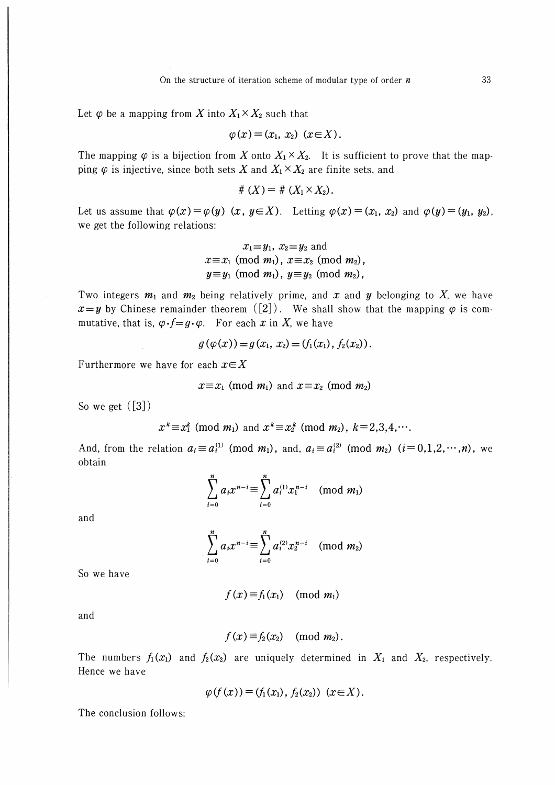Let  $\varphi$  be a mapping from X into  $X_1 \times X_2$  such that

$$
\varphi(x)=(x_1, x_2) \quad (x\in X).
$$

The mapping  $\varphi$  is a bijection from X onto  $X_1 \times X_2$ . It is sufficient to prove that the mapping  $\varphi$  is injective, since both sets X and  $X_1 \times X_2$  are finite sets, and

$$
\#\left(X\right)=\#\left(X_1\times X_2\right).
$$

Let us assume that  $\varphi(x)=\varphi(y)$   $(x, y\in X)$ . Letting  $\varphi(x)=(x_1, x_2)$  and  $\varphi(y)=(y_1, y_2)$ , we get the following relations:

$$
x_1 = y_1
$$
,  $x_2 = y_2$  and  
\n $x \equiv x_1 \pmod{m_1}$ ,  $x \equiv x_2 \pmod{m_2}$ ,  
\n $y \equiv y_1 \pmod{m_1}$ ,  $y \equiv y_2 \pmod{m_2}$ ,

Two integers  $m_1$  and  $m_2$  being relatively prime, and x and y belonging to X, we have  $x=y$  by Chinese remainder theorem ([2]). We shall show that the mapping  $\varphi$  is commutative, that is,  $\varphi \cdot f = g \cdot \varphi$ . For each x in X, we have

$$
g(\varphi(x)) = g(x_1, x_2) = (f_1(x_1), f_2(x_2)).
$$

and the state of the

Furthermore we have for each  $x \in X$ 

$$
x \equiv x_1 \pmod{m_1}
$$
 and  $x \equiv x_2 \pmod{m_2}$ 

So we get  $([3])$ 

$$
x^k \equiv x_1^k \pmod{m_1}
$$
 and  $x^k \equiv x_2^k \pmod{m_2}$ ,  $k = 2,3,4,\cdots$ .

And, from the relation  $a_i \equiv a_i^{(1)} \pmod{m_1}$ , and,  $a_i \equiv a_i^{(2)} \pmod{m_2}$   $(i=0,1,2,\dots,n)$ , we obtain

$$
\sum_{i=0}^{n} a_i x^{n-i} \equiv \sum_{i=0}^{n} a_i^{(1)} x_1^{n-i} \pmod{m_1}
$$

and

$$
\sum_{i=0}^{n} a_i x^{n-i} \equiv \sum_{i=0}^{n} a_i^{(2)} x_2^{n-i} \pmod{m_2}
$$

So we have

$$
f(x) \equiv f_1(x_1) \pmod{m_1}
$$

and

$$
f(x) \equiv f_2(x_2) \pmod{m_2}.
$$

The numbers  $f_1(x_1)$  and  $f_2(x_2)$  are uniquely determined in  $X_1$  and  $X_2$ , respectively. Hence we have

$$
\varphi(f(x)) = (f_1(x_1), f_2(x_2)) \quad (x \in X).
$$

The conclusion follows: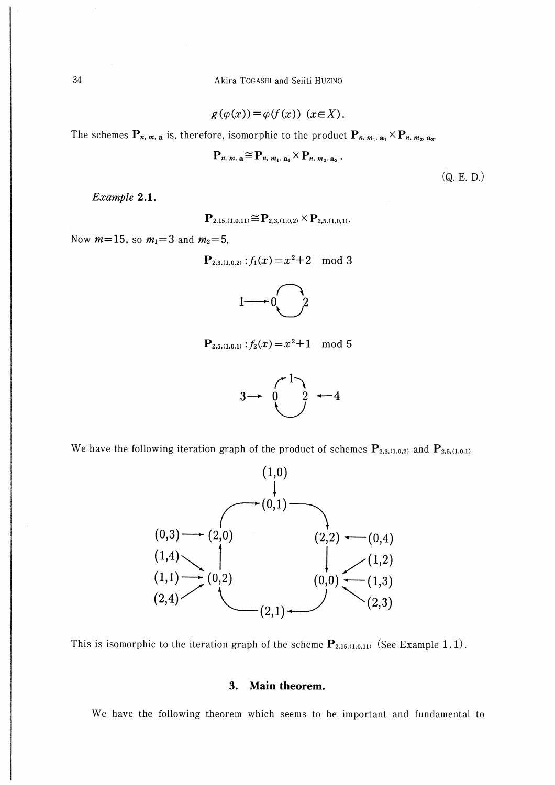Akira TOGASHI and Seiiti HUZINO

$$
g(\varphi(x)) = \varphi(f(x)) \quad (x \in X).
$$

The schemes  $P_{n, m, a}$  is, therefore, isomorphic to the product  $P_{n, m_1, a_1} \times P_{n, m_2, a_2}$ .

$$
\mathbf{P}_{n, m, \, \mathbf{a}} \cong \mathbf{P}_{n, m_1, \, \mathbf{a}_1} \times \mathbf{P}_{n, m_2, \, \mathbf{a}_2} \, .
$$

 $(Q. E. D.)$ 

Example 2.1.

 ${\bf P}_{2,15,(1,0,11)} \cong {\bf P}_{2,3,(1,0,2)} \times {\bf P}_{2,5,(1,0,1)}.$ 

Now  $m=15$ , so  $m_1=3$  and  $m_2=5$ ,

$$
\mathbf{P}_{2,3,(1,0,2)}:f_1(x) = x^2 + 2 \mod 3
$$



$$
\mathbf{P}_{2,5,(1,0,1)}:f_2(x) = x^2+1 \mod 5
$$



We have the following iteration graph of the product of schemes  $P_{2,3,(1,0,2)}$  and  $P_{2,5,(1,0,1)}$ 



This is isomorphic to the iteration graph of the scheme  $P_{2,15,(1,0,11)}$  (See Example 1.1).

#### 3. Main theorem.

We have the following theorem which seems to be important and fundamental to

34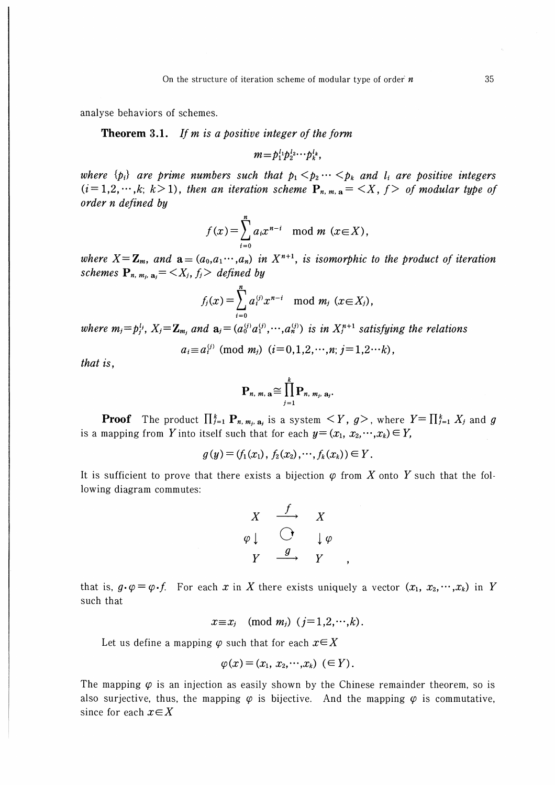analyse behaviors of schemes.

**Theorem 3.1.** If  $m$  is a positive integer of the form

$$
m=p_1^{l_1}p_2^{l_2}\cdots p_k^{l_k},
$$

where  $\{p_i\}$  are prime numbers such that  $p_1 < p_2 \cdots < p_k$  and  $l_i$  are positive integers  $(i=1,2,\dots,k; k>1)$ , then an iteration scheme  $P_{n,m,n} = \langle X, f \rangle$  of modular type of order n defined by

$$
f(x) = \sum_{i=0}^{n} a_i x^{n-i} \mod m \ (x \in X),
$$

where  $X = \mathbb{Z}_m$ , and  $\mathbf{a} = (a_0, a_1, \dots, a_n)$  in  $X^{n+1}$ , is isomorphic to the product of iteration schemes  $\mathbf{P}_{n,m_i,\mathbf{a}_i} = \langle X_i, f_i \rangle$  defined by

$$
f_j(x) = \sum_{i=0}^n a_i^{(j)} x^{n-i} \mod m_j \ (x \in X_j),
$$

where  $m_j = p_j^{l_j}$ ,  $X_j = \mathbf{Z}_{m_i}$  and  $\mathbf{a}_j = (a_0^{(j)} a_1^{(j)}, \dots, a_n^{(j)})$  is in  $X_j^{n+1}$  satisfying the relations

$$
a_i \equiv a_i^{(j)}
$$
 (mod  $m_j$ )  $(i=0,1,2,\dots,n; j=1,2\cdots k)$ ,

that is.

$$
\mathbf{P}_{n, m, \, \mathbf{a}} \cong \prod_{j=1}^k \mathbf{P}_{n, m_j, \, \mathbf{a}_j}
$$

**Proof** The product  $\prod_{j=1}^k P_{n, m_j, a_j}$  is a system  $\langle Y, g \rangle$ , where  $Y = \prod_{j=1}^k X_j$  and g is a mapping from Y into itself such that for each  $y = (x_1, x_2, \dots, x_k) \in Y$ ,

$$
g(y) = (f_1(x_1), f_2(x_2), \cdots, f_k(x_k)) \in Y.
$$

It is sufficient to prove that there exists a bijection  $\varphi$  from X onto Y such that the following diagram commutes:

$$
\begin{array}{ccc}\nX & \xrightarrow{f} & X \\
\varphi \downarrow & \bigodot & \downarrow \varphi \\
Y & \xrightarrow{g} & Y\n\end{array}
$$

that is,  $g \cdot \varphi = \varphi \cdot f$ . For each x in X there exists uniquely a vector  $(x_1, x_2, \dots, x_k)$  in Y such that

$$
x \equiv x_j \pmod{m_j} \quad (j=1,2,\dots,k).
$$

Let us define a mapping  $\varphi$  such that for each  $x \in X$ 

$$
\varphi(x)=(x_1, x_2,\cdots,x_k)\ \ (\in Y).
$$

The mapping  $\varphi$  is an injection as easily shown by the Chinese remainder theorem, so is also surjective, thus, the mapping  $\varphi$  is bijective. And the mapping  $\varphi$  is commutative, since for each  $x \in X$